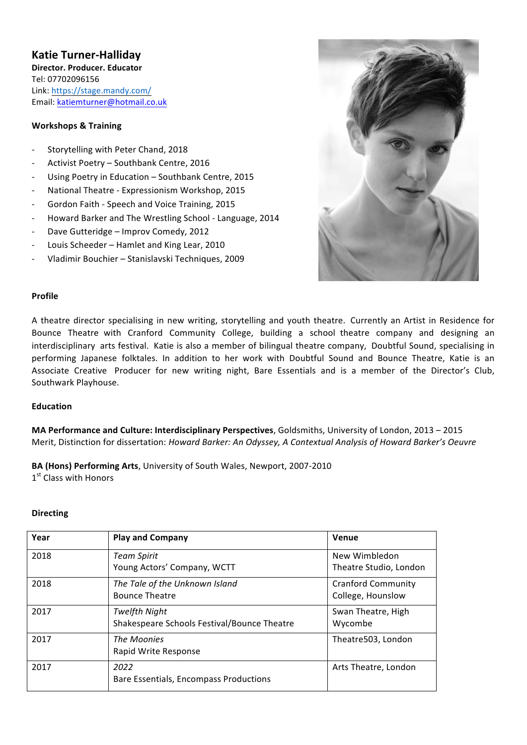# **Katie Turner-Halliday**

**Director. Producer. Educator** Tel: 07702096156 Link: https://stage.mandy.com/ Email: katiemturner@hotmail.co.uk 

### **Workshops & Training**

- Storytelling with Peter Chand, 2018
- Activist Poetry Southbank Centre, 2016
- Using Poetry in Education Southbank Centre, 2015
- National Theatre Expressionism Workshop, 2015
- Gordon Faith Speech and Voice Training, 2015
- Howard Barker and The Wrestling School Language, 2014
- Dave Gutteridge Improv Comedy, 2012
- Louis Scheeder Hamlet and King Lear, 2010
- Vladimir Bouchier Stanislavski Techniques, 2009



#### **Profile**

A theatre director specialising in new writing, storytelling and youth theatre. Currently an Artist in Residence for Bounce Theatre with Cranford Community College, building a school theatre company and designing an interdisciplinary arts festival. Katie is also a member of bilingual theatre company, Doubtful Sound, specialising in performing Japanese folktales. In addition to her work with Doubtful Sound and Bounce Theatre, Katie is an Associate Creative Producer for new writing night, Bare Essentials and is a member of the Director's Club, Southwark Playhouse.

#### **Education**

**MA Performance and Culture: Interdisciplinary Perspectives**, Goldsmiths, University of London, 2013 – 2015 Merit, Distinction for dissertation: *Howard Barker: An Odyssey, A Contextual Analysis of Howard Barker's Oeuvre* 

**BA (Hons) Performing Arts**, University of South Wales, Newport, 2007-2010

1<sup>st</sup> Class with Honors

#### **Directing**

| Year | <b>Play and Company</b>                                             | Venue                                          |
|------|---------------------------------------------------------------------|------------------------------------------------|
| 2018 | <b>Team Spirit</b><br>Young Actors' Company, WCTT                   | New Wimbledon<br>Theatre Studio, London        |
| 2018 | The Tale of the Unknown Island<br><b>Bounce Theatre</b>             | <b>Cranford Community</b><br>College, Hounslow |
| 2017 | <b>Twelfth Night</b><br>Shakespeare Schools Festival/Bounce Theatre | Swan Theatre, High<br>Wycombe                  |
| 2017 | The Moonies<br>Rapid Write Response                                 | Theatre503, London                             |
| 2017 | 2022<br>Bare Essentials, Encompass Productions                      | Arts Theatre, London                           |